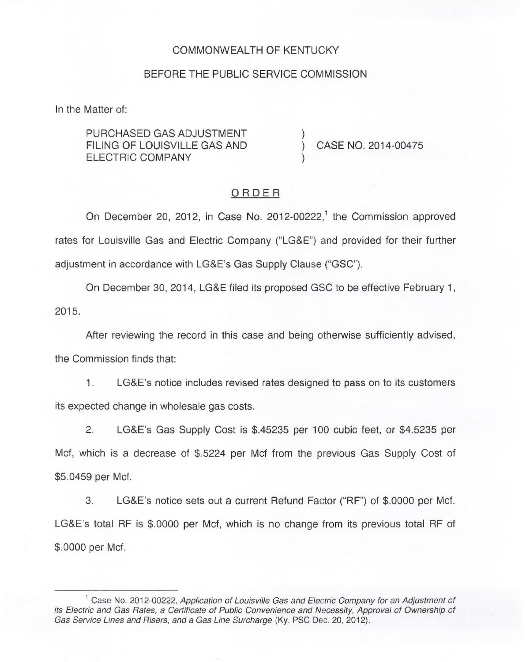#### COMMONWEALTH OF KENTUCKY

## BEFORE THE PUBLIC SERVICE COMMISSION

In the Matter of:

PURCHASED GAS ADJUSTMENT FILING OF LOUISVILLE GAS AND ELECTRIC COMPANY

) CASE NO. 2014-00475

#### ORDER

)

)

On December 20, 2012, in Case No. 2012-00222,<sup>1</sup> the Commission approved rates for Louisville Gas and Electric Company ("LG8E") and provided for their further adjustment in accordance with LG8E's Gas Supply Clause ("GSC").

On December 30, 2014, LG&E filed its proposed GSC to be effective February 1, 2015.

After reviewing the record in this case and being otherwise sufficiently advised, the Commission finds that:

1. LG&E's notice includes revised rates designed to pass on to its customers its expected change in wholesale gas costs.

2. LG&E's Gas Supply Cost is \$.45235 per 100 cubic feet, or \$4.5235 per Mcf, which is a decrease of \$.5224 per Mcf from the previous Gas Supply Cost of \$5.0459 per Mcf.

3. LG8E's notice sets out a current Refund Factor ("RF") of \$.0000 per Mcf. LG8E's total RF is \$.0000 per Mcf, which is no change from its previous total RF of \$.0000 per Mcf.

 $^1$  Case No. 2012-00222, Application of Louisville Gas and Electric Company for an Adjustment of its Electric and Gas Rates, a Certificate of Public Convenience and Necessity, Approval of Ownership of Gas Service Lines and Risers, and a Gas Line Surcharge (Ky. PSC Dec. 20, 2012).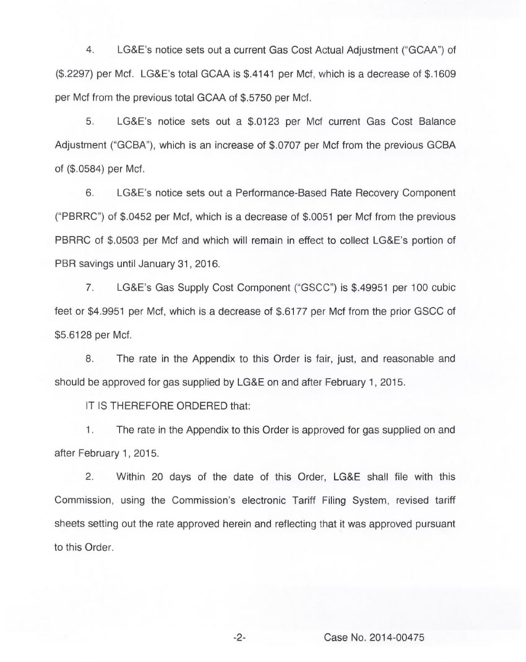4. LG&E's notice sets out a current Gas Cost Actual Adjustment ("GCAA") of (\$.2297) per Mcf. LG8 E's total GCAA is \$.4141 per Mcf, which is a decrease of \$.1609 per Mcf from the previous total GCAA of \$.5750 per Mcf.

5. LG&E's notice sets out a \$.0123 per Mcf current Gas Cost Balance Adjustment ("GCBA"), which is an increase of \$.0707 per Mcf from the previous GCBA of (\$.0584) per Mcf.

6. LG8E's notice sets out a Performance-Based Rate Recovery Component ("PBRRC") of \$.0452 per Mcf, which is a decrease of \$.0051 per Mcf from the previous PBRRC of \$.0503 per Mcf and which will remain in effect to collect LG8E's portion of PBR savings until January 31, 2016.

7. LG8E's Gas Supply Cost Component ("GSCC") is \$.49951 per 100 cubic feet or \$4.9951 per Mcf, which is a decrease of \$.6177 per Mcf from the prior GSCC of \$5.6128 per Mcf.

8. The rate in the Appendix to this Order is fair, just, and reasonable and should be approved for gas supplied by LG&E on and after February 1, 2015.

IT IS THEREFORE ORDERED that:

 $1.$ The rate in the Appendix to this Order is approved for gas supplied on and after February 1, 2015.

2. Within 20 days of the date of this Order, LG&E shall file with this Commission, using the Commission's electronic Tariff Filing System, revised tariff sheets setting out the rate approved herein and reflecting that it was approved pursuant to this Order.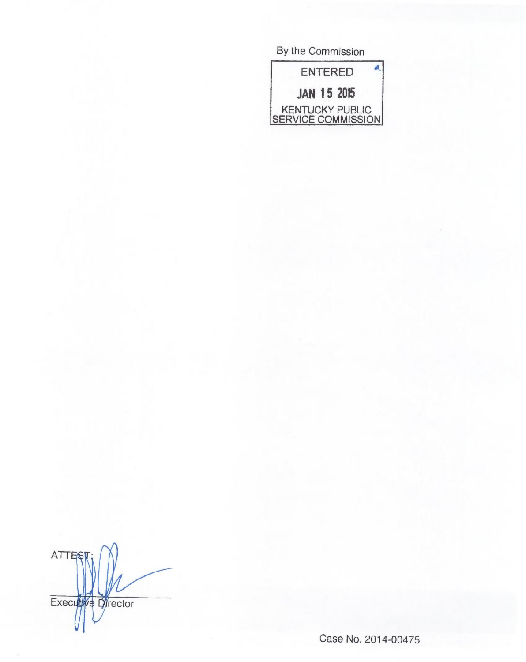| By the Commission                     |  |
|---------------------------------------|--|
| <b>ENTERED</b>                        |  |
| <b>JAN 15 2015</b>                    |  |
| KENTUCKY PUBLIC<br>SERVICE COMMISSION |  |

ATTES Executive Director

Case No. 2014-00475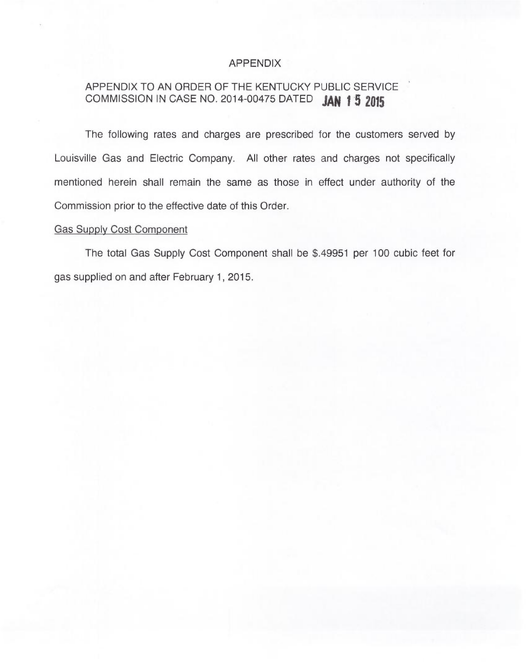## APPENDIX

# APPENDIX TO AN ORDER OF THE KENTUCKY PUBLIC SERVICE COMMISSION IN CASE NO. 2014-00475 DATED JAN 15 2015

The following rates and charges are prescribed for the customers served by Louisville Gas and Electric Company. All other rates and charges not specifically mentioned herein shall remain the same as those in effect under authority of the Commission prior to the effective date of this Order.

## Gas Supply Cost Component

The total Gas Supply Cost Component shall be \$.49951 per 100 cubic feet for gas supplied on and after February 1, 2015.